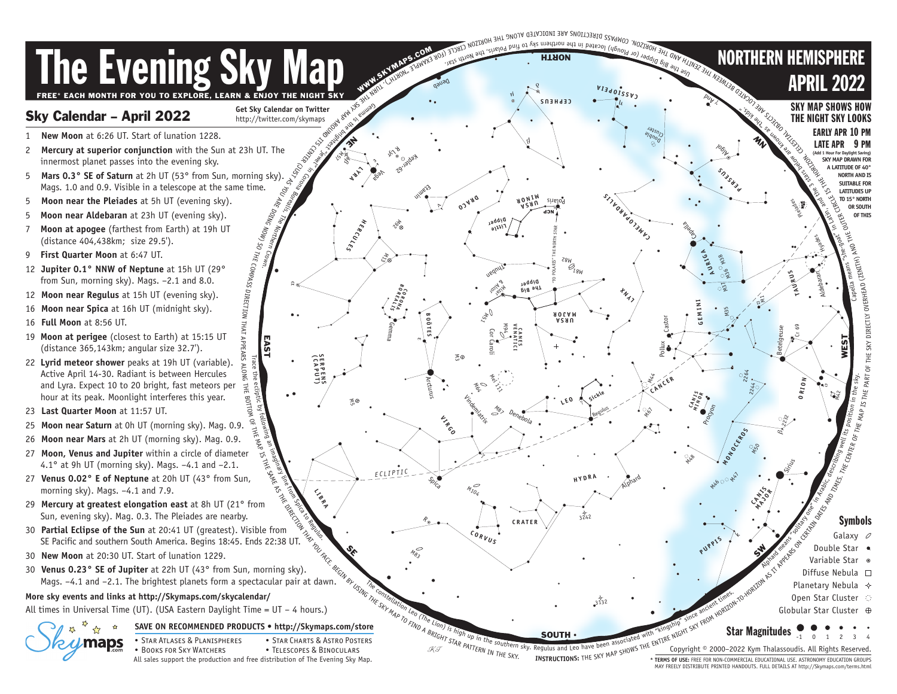